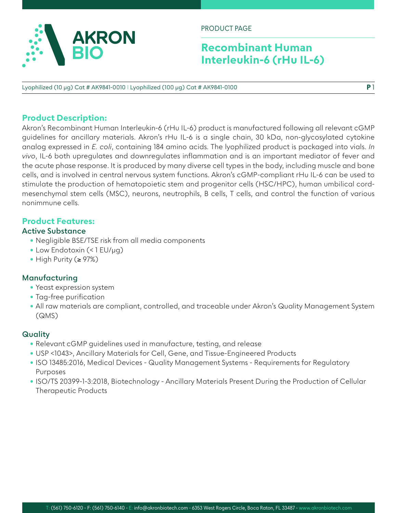

PRODUCT PAGE

# **Recombinant Human Interleukin-6 (rHu IL-6)**

**P** 1

Lyophilized (10 µg) Cat # AK9841-0010 I Lyophilized (100 µg) Cat # AK9841-0100

# **Product Description:**

Akron's Recombinant Human Interleukin-6 (rHu IL-6) product is manufactured following all relevant cGMP guidelines for ancillary materials. Akron's rHu IL-6 is a single chain, 30 kDa, non-glycosylated cytokine analog expressed in *E. coli*, containing 184 amino acids. The lyophilized product is packaged into vials. *In vivo*, IL-6 both upregulates and downregulates inflammation and is an important mediator of fever and the acute phase response. It is produced by many diverse cell types in the body, including muscle and bone cells, and is involved in central nervous system functions. Akron's cGMP-compliant rHu IL-6 can be used to stimulate the production of hematopoietic stem and progenitor cells (HSC/HPC), human umbilical cordmesenchymal stem cells (MSC), neurons, neutrophils, B cells, T cells, and control the function of various nonimmune cells.

# **Product Features:**

### **Active Substance**

- Negligible BSE/TSE risk from all media components
- Low Endotoxin (< 1 EU/µg)
- High Purity (≥ 97%)

### **Manufacturing**

- Yeast expression system
- Tag-free purification
- All raw materials are compliant, controlled, and traceable under Akron's Quality Management System (QMS)

### **Quality**

- Relevant cGMP guidelines used in manufacture, testing, and release
- USP <1043>, Ancillary Materials for Cell, Gene, and Tissue-Engineered Products
- ISO 13485:2016, Medical Devices Quality Management Systems Requirements for Regulatory Purposes
- ISO/TS 20399-1-3:2018, Biotechnology Ancillary Materials Present During the Production of Cellular Therapeutic Products